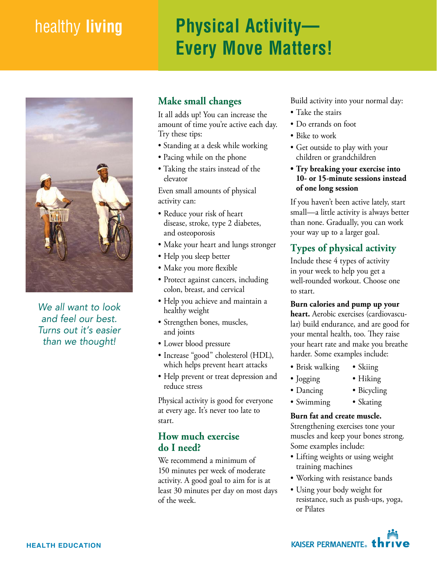# healthy **living Physical Activity— Every Move Matters!**



*We all want to look and feel our best. Turns out it's easier than we thought!*

# **Make small changes**

It all adds up! You can increase the amount of time you're active each day. Try these tips:

- Standing at a desk while working
- Pacing while on the phone
- Taking the stairs instead of the elevator

Even small amounts of physical activity can:

- Reduce your risk of heart disease, stroke, type 2 diabetes, and osteoporosis
- Make your heart and lungs stronger
- Help you sleep better
- Make you more flexible
- Protect against cancers, including colon, breast, and cervical
- Help you achieve and maintain a healthy weight
- Strengthen bones, muscles, and joints
- Lower blood pressure
- Increase "good" cholesterol (HDL), which helps prevent heart attacks
- Help prevent or treat depression and reduce stress

Physical activity is good for everyone at every age. It's never too late to start.

# **How much exercise do I need?**

We recommend a minimum of 150 minutes per week of moderate activity. A good goal to aim for is at least 30 minutes per day on most days of the week.

Build activity into your normal day:

- Take the stairs
- Do errands on foot
- Bike to work
- Get outside to play with your children or grandchildren
- **• Try breaking your exercise into 10- or 15-minute sessions instead of one long session**

If you haven't been active lately, start small—a little activity is always better than none. Gradually, you can work your way up to a larger goal.

# **Types of physical activity**

Include these 4 types of activity in your week to help you get a well-rounded workout. Choose one to start.

#### **Burn calories and pump up your**

**heart.** Aerobic exercises (cardiovascular) build endurance, and are good for your mental health, too. They raise your heart rate and make you breathe harder. Some examples include:

- Brisk walking • Skiing
- Jogging • Hiking
- Dancing
- Bicycling • Skating
- Swimming

#### **Burn fat and create muscle.**

Strengthening exercises tone your muscles and keep your bones strong. Some examples include:

- Lifting weights or using weight training machines
- Working with resistance bands
- Using your body weight for resistance, such as push-ups, yoga, or Pilates